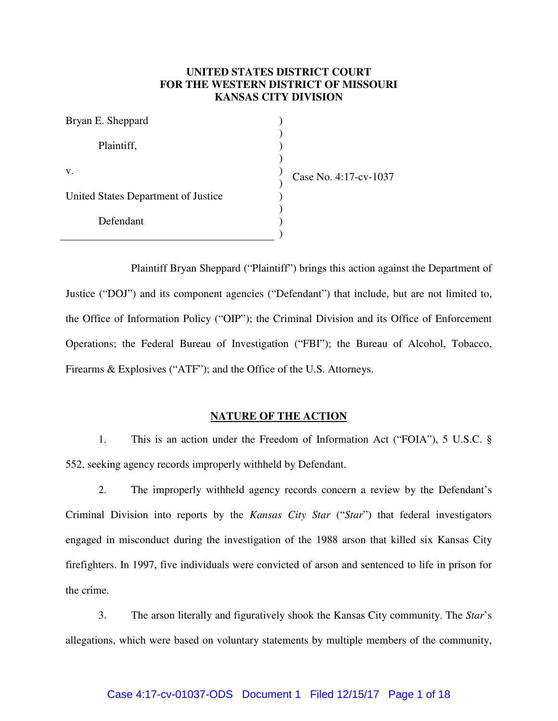# **UNITED STATES DISTRICT COURT FOR THE WESTERN DISTRICT OF MISSOURI KANSAS CITY DIVISION**

| Bryan E. Sheppard                   |                       |
|-------------------------------------|-----------------------|
| Plaintiff,                          |                       |
| V.                                  | Case No. 4:17-cv-1037 |
| United States Department of Justice |                       |
| Defendant                           |                       |
|                                     |                       |

Plaintiff Bryan Sheppard ("Plaintiff") brings this action against the Department of Justice ("DOJ") and its component agencies ("Defendant") that include, but are not limited to, the Office of Information Policy ("OIP"); the Criminal Division and its Office of Enforcement Operations; the Federal Bureau of Investigation ("FBI"); the Bureau of Alcohol, Tobacco, Firearms & Explosives ("ATF"); and the Office of the U.S. Attorneys.

### **NATURE OF THE ACTION**

1. This is an action under the Freedom of Information Act ("FOIA"), 5 U.S.C. § 552, seeking agency records improperly withheld by Defendant.

2. The improperly withheld agency records concern a review by the Defendant's Criminal Division into reports by the *Kansas City Star* ("*Star*") that federal investigators engaged in misconduct during the investigation of the 1988 arson that killed six Kansas City firefighters. In 1997, five individuals were convicted of arson and sentenced to life in prison for the crime.

3. The arson literally and figuratively shook the Kansas City community. The *Star*'s allegations, which were based on voluntary statements by multiple members of the community,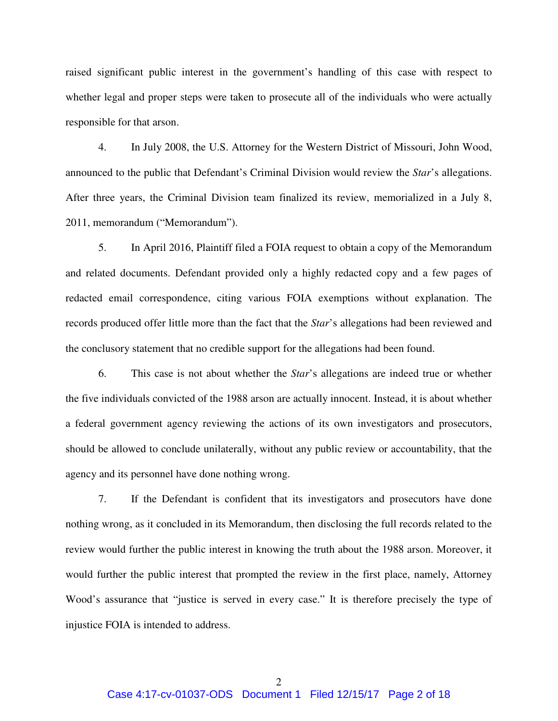raised significant public interest in the government's handling of this case with respect to whether legal and proper steps were taken to prosecute all of the individuals who were actually responsible for that arson.

4. In July 2008, the U.S. Attorney for the Western District of Missouri, John Wood, announced to the public that Defendant's Criminal Division would review the *Star*'s allegations. After three years, the Criminal Division team finalized its review, memorialized in a July 8, 2011, memorandum ("Memorandum").

5. In April 2016, Plaintiff filed a FOIA request to obtain a copy of the Memorandum and related documents. Defendant provided only a highly redacted copy and a few pages of redacted email correspondence, citing various FOIA exemptions without explanation. The records produced offer little more than the fact that the *Star*'s allegations had been reviewed and the conclusory statement that no credible support for the allegations had been found.

6. This case is not about whether the *Star*'s allegations are indeed true or whether the five individuals convicted of the 1988 arson are actually innocent. Instead, it is about whether a federal government agency reviewing the actions of its own investigators and prosecutors, should be allowed to conclude unilaterally, without any public review or accountability, that the agency and its personnel have done nothing wrong.

7. If the Defendant is confident that its investigators and prosecutors have done nothing wrong, as it concluded in its Memorandum, then disclosing the full records related to the review would further the public interest in knowing the truth about the 1988 arson. Moreover, it would further the public interest that prompted the review in the first place, namely, Attorney Wood's assurance that "justice is served in every case." It is therefore precisely the type of injustice FOIA is intended to address.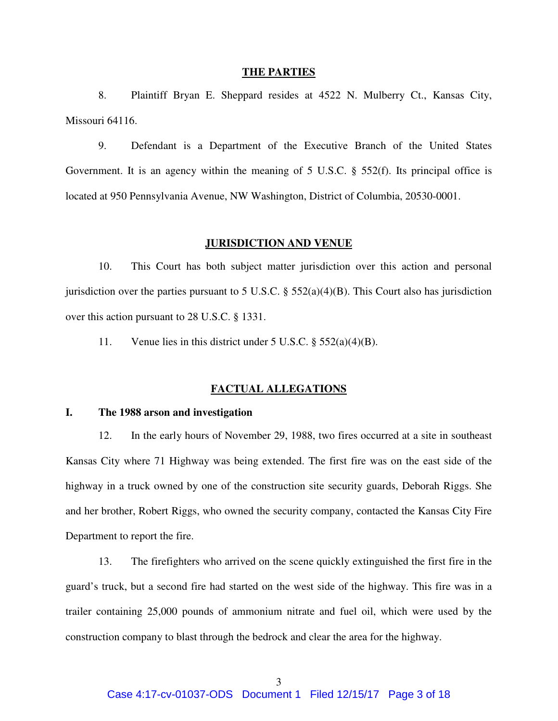#### **THE PARTIES**

8. Plaintiff Bryan E. Sheppard resides at 4522 N. Mulberry Ct., Kansas City, Missouri 64116.

9. Defendant is a Department of the Executive Branch of the United States Government. It is an agency within the meaning of 5 U.S.C. § 552(f). Its principal office is located at 950 Pennsylvania Avenue, NW Washington, District of Columbia, 20530-0001.

#### **JURISDICTION AND VENUE**

10. This Court has both subject matter jurisdiction over this action and personal jurisdiction over the parties pursuant to 5 U.S.C.  $\S$  552(a)(4)(B). This Court also has jurisdiction over this action pursuant to 28 U.S.C. § 1331.

11. Venue lies in this district under 5 U.S.C. § 552(a)(4)(B).

### **FACTUAL ALLEGATIONS**

# **I. The 1988 arson and investigation**

12. In the early hours of November 29, 1988, two fires occurred at a site in southeast Kansas City where 71 Highway was being extended. The first fire was on the east side of the highway in a truck owned by one of the construction site security guards, Deborah Riggs. She and her brother, Robert Riggs, who owned the security company, contacted the Kansas City Fire Department to report the fire.

13. The firefighters who arrived on the scene quickly extinguished the first fire in the guard's truck, but a second fire had started on the west side of the highway. This fire was in a trailer containing 25,000 pounds of ammonium nitrate and fuel oil, which were used by the construction company to blast through the bedrock and clear the area for the highway.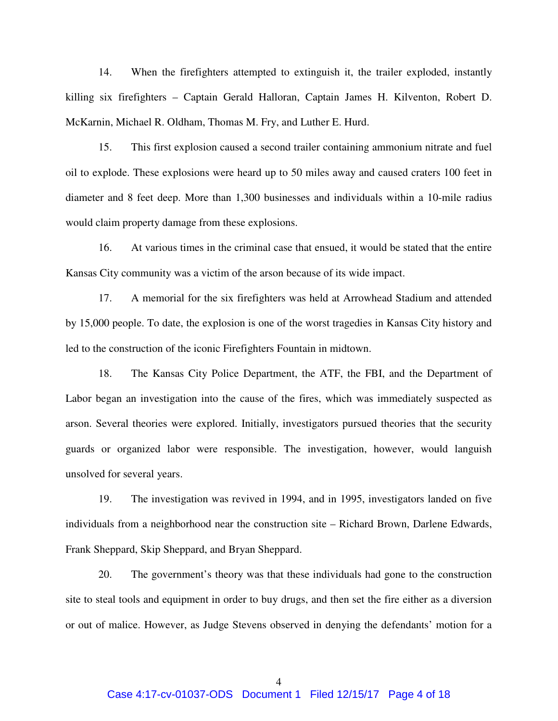14. When the firefighters attempted to extinguish it, the trailer exploded, instantly killing six firefighters – Captain Gerald Halloran, Captain James H. Kilventon, Robert D. McKarnin, Michael R. Oldham, Thomas M. Fry, and Luther E. Hurd.

15. This first explosion caused a second trailer containing ammonium nitrate and fuel oil to explode. These explosions were heard up to 50 miles away and caused craters 100 feet in diameter and 8 feet deep. More than 1,300 businesses and individuals within a 10-mile radius would claim property damage from these explosions.

16. At various times in the criminal case that ensued, it would be stated that the entire Kansas City community was a victim of the arson because of its wide impact.

17. A memorial for the six firefighters was held at Arrowhead Stadium and attended by 15,000 people. To date, the explosion is one of the worst tragedies in Kansas City history and led to the construction of the iconic Firefighters Fountain in midtown.

18. The Kansas City Police Department, the ATF, the FBI, and the Department of Labor began an investigation into the cause of the fires, which was immediately suspected as arson. Several theories were explored. Initially, investigators pursued theories that the security guards or organized labor were responsible. The investigation, however, would languish unsolved for several years.

19. The investigation was revived in 1994, and in 1995, investigators landed on five individuals from a neighborhood near the construction site – Richard Brown, Darlene Edwards, Frank Sheppard, Skip Sheppard, and Bryan Sheppard.

20. The government's theory was that these individuals had gone to the construction site to steal tools and equipment in order to buy drugs, and then set the fire either as a diversion or out of malice. However, as Judge Stevens observed in denying the defendants' motion for a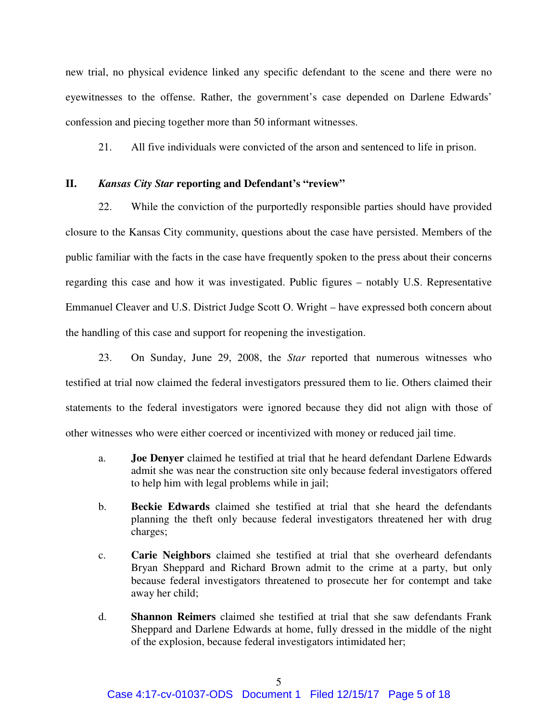new trial, no physical evidence linked any specific defendant to the scene and there were no eyewitnesses to the offense. Rather, the government's case depended on Darlene Edwards' confession and piecing together more than 50 informant witnesses.

21. All five individuals were convicted of the arson and sentenced to life in prison.

### **II.** *Kansas City Star* **reporting and Defendant's "review"**

22. While the conviction of the purportedly responsible parties should have provided closure to the Kansas City community, questions about the case have persisted. Members of the public familiar with the facts in the case have frequently spoken to the press about their concerns regarding this case and how it was investigated. Public figures – notably U.S. Representative Emmanuel Cleaver and U.S. District Judge Scott O. Wright – have expressed both concern about the handling of this case and support for reopening the investigation.

23. On Sunday, June 29, 2008, the *Star* reported that numerous witnesses who testified at trial now claimed the federal investigators pressured them to lie. Others claimed their statements to the federal investigators were ignored because they did not align with those of other witnesses who were either coerced or incentivized with money or reduced jail time.

- a. **Joe Denyer** claimed he testified at trial that he heard defendant Darlene Edwards admit she was near the construction site only because federal investigators offered to help him with legal problems while in jail;
- b. **Beckie Edwards** claimed she testified at trial that she heard the defendants planning the theft only because federal investigators threatened her with drug charges;
- c. **Carie Neighbors** claimed she testified at trial that she overheard defendants Bryan Sheppard and Richard Brown admit to the crime at a party, but only because federal investigators threatened to prosecute her for contempt and take away her child;
- d. **Shannon Reimers** claimed she testified at trial that she saw defendants Frank Sheppard and Darlene Edwards at home, fully dressed in the middle of the night of the explosion, because federal investigators intimidated her;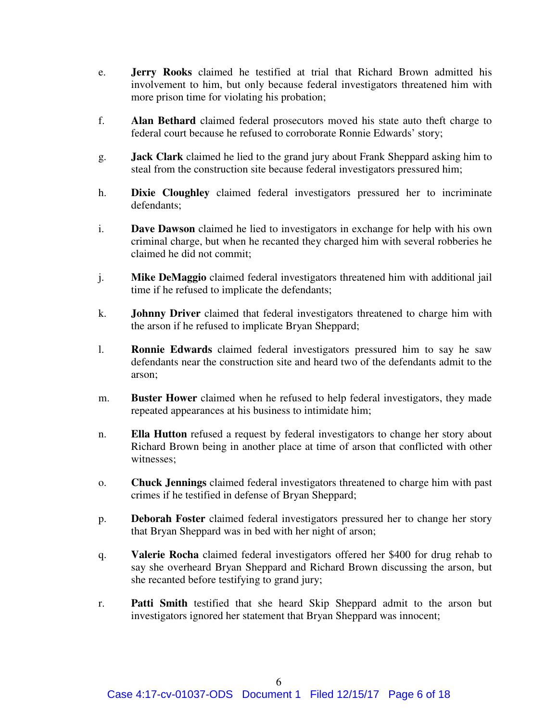- e. **Jerry Rooks** claimed he testified at trial that Richard Brown admitted his involvement to him, but only because federal investigators threatened him with more prison time for violating his probation;
- f. **Alan Bethard** claimed federal prosecutors moved his state auto theft charge to federal court because he refused to corroborate Ronnie Edwards' story;
- g. **Jack Clark** claimed he lied to the grand jury about Frank Sheppard asking him to steal from the construction site because federal investigators pressured him;
- h. **Dixie Cloughley** claimed federal investigators pressured her to incriminate defendants;
- i. **Dave Dawson** claimed he lied to investigators in exchange for help with his own criminal charge, but when he recanted they charged him with several robberies he claimed he did not commit;
- j. **Mike DeMaggio** claimed federal investigators threatened him with additional jail time if he refused to implicate the defendants;
- k. **Johnny Driver** claimed that federal investigators threatened to charge him with the arson if he refused to implicate Bryan Sheppard;
- l. **Ronnie Edwards** claimed federal investigators pressured him to say he saw defendants near the construction site and heard two of the defendants admit to the arson;
- m. **Buster Hower** claimed when he refused to help federal investigators, they made repeated appearances at his business to intimidate him;
- n. **Ella Hutton** refused a request by federal investigators to change her story about Richard Brown being in another place at time of arson that conflicted with other witnesses;
- o. **Chuck Jennings** claimed federal investigators threatened to charge him with past crimes if he testified in defense of Bryan Sheppard;
- p. **Deborah Foster** claimed federal investigators pressured her to change her story that Bryan Sheppard was in bed with her night of arson;
- q. **Valerie Rocha** claimed federal investigators offered her \$400 for drug rehab to say she overheard Bryan Sheppard and Richard Brown discussing the arson, but she recanted before testifying to grand jury;
- r. **Patti Smith** testified that she heard Skip Sheppard admit to the arson but investigators ignored her statement that Bryan Sheppard was innocent;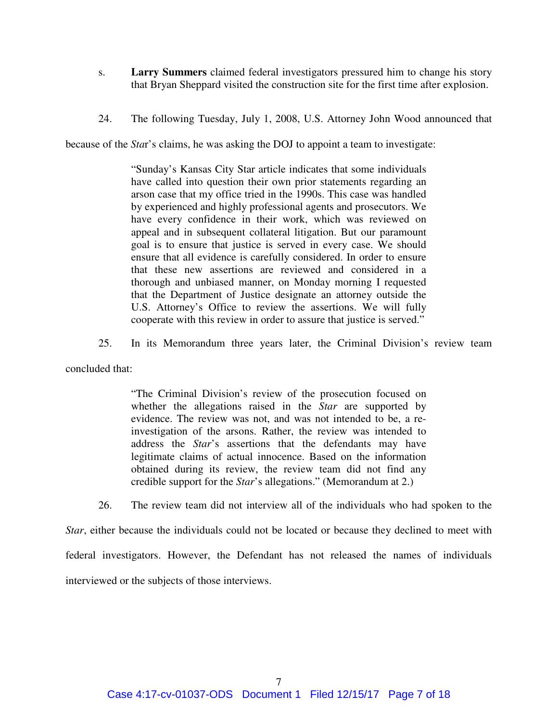- s. **Larry Summers** claimed federal investigators pressured him to change his story that Bryan Sheppard visited the construction site for the first time after explosion.
- 24. The following Tuesday, July 1, 2008, U.S. Attorney John Wood announced that

because of the *Sta*r's claims, he was asking the DOJ to appoint a team to investigate:

"Sunday's Kansas City Star article indicates that some individuals have called into question their own prior statements regarding an arson case that my office tried in the 1990s. This case was handled by experienced and highly professional agents and prosecutors. We have every confidence in their work, which was reviewed on appeal and in subsequent collateral litigation. But our paramount goal is to ensure that justice is served in every case. We should ensure that all evidence is carefully considered. In order to ensure that these new assertions are reviewed and considered in a thorough and unbiased manner, on Monday morning I requested that the Department of Justice designate an attorney outside the U.S. Attorney's Office to review the assertions. We will fully cooperate with this review in order to assure that justice is served."

25. In its Memorandum three years later, the Criminal Division's review team

concluded that:

"The Criminal Division's review of the prosecution focused on whether the allegations raised in the *Star* are supported by evidence. The review was not, and was not intended to be, a reinvestigation of the arsons. Rather, the review was intended to address the *Star*'s assertions that the defendants may have legitimate claims of actual innocence. Based on the information obtained during its review, the review team did not find any credible support for the *Star*'s allegations." (Memorandum at 2.)

26. The review team did not interview all of the individuals who had spoken to the

*Star*, either because the individuals could not be located or because they declined to meet with federal investigators. However, the Defendant has not released the names of individuals interviewed or the subjects of those interviews.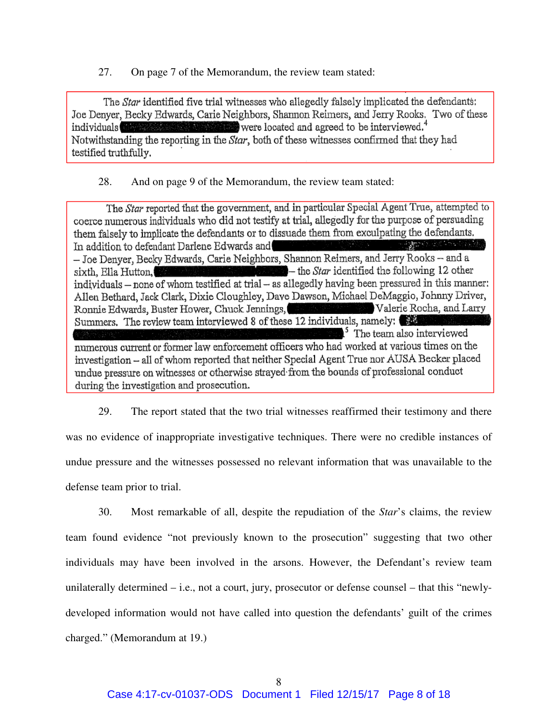27. On page 7 of the Memorandum, the review team stated:

The *Star* identified five trial witnesses who allegedly falsely implicated the defendants: Joe Denyer, Becky Edwards, Carie Neighbors, Shannon Reimers, and Jerry Rooks. Two of these individuals were located and agreed to be interviewed.<sup>4</sup> Notwithstanding the reporting in the Star, both of these witnesses confirmed that they had testified truthfully.

28. And on page 9 of the Memorandum, the review team stated:

The Star reported that the government, and in particular Special Agent True, attempted to coerce numerous individuals who did not testify at trial, allegedly for the purpose of persuading them falsely to implicate the defendants or to dissuade them from exculpating the defendants. In addition to defendant Darlene Edwards and - Joe Denyer, Becky Edwards, Carie Neighbors, Shannon Reimers, and Jerry Rooks -- and a the *Star* identified the following 12 other sixth, Ella Hutton, individuals – none of whom testified at trial – as allegedly having been pressured in this manner: Allen Bethard, Jack Clark, Dixie Cloughley, Dave Dawson, Michael DeMaggio, Johnny Driver, Ronnie Edwards, Buster Hower, Chuck Jennings, Valerie Rocha, and Larry Summers. The review team interviewed 8 of these 12 individuals, namely:  $\mathbb{R}^5$  The team also interviewed numerous current or former law enforcement officers who had worked at various times on the investigation - all of whom reported that neither Special Agent True nor AUSA Becker placed undue pressure on witnesses or otherwise strayed from the bounds of professional conduct during the investigation and prosecution.

29. The report stated that the two trial witnesses reaffirmed their testimony and there was no evidence of inappropriate investigative techniques. There were no credible instances of undue pressure and the witnesses possessed no relevant information that was unavailable to the defense team prior to trial.

30. Most remarkable of all, despite the repudiation of the *Star*'s claims, the review team found evidence "not previously known to the prosecution" suggesting that two other individuals may have been involved in the arsons. However, the Defendant's review team unilaterally determined – i.e., not a court, jury, prosecutor or defense counsel – that this "newlydeveloped information would not have called into question the defendants' guilt of the crimes charged." (Memorandum at 19.)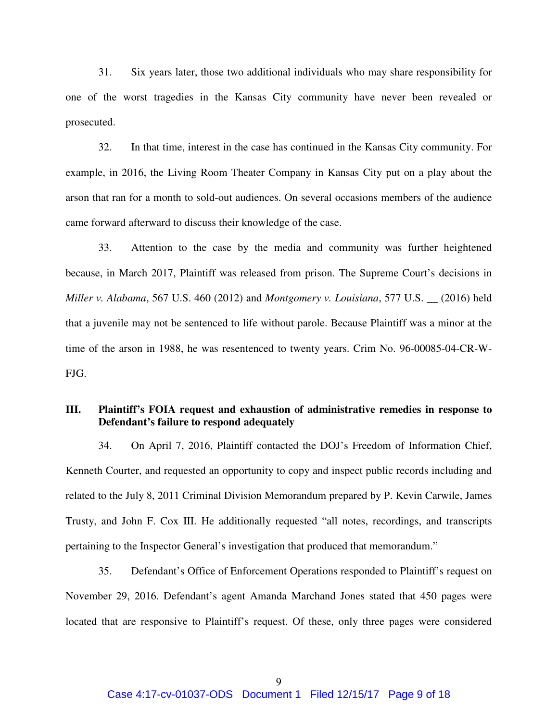31. Six years later, those two additional individuals who may share responsibility for one of the worst tragedies in the Kansas City community have never been revealed or prosecuted.

32. In that time, interest in the case has continued in the Kansas City community. For example, in 2016, the Living Room Theater Company in Kansas City put on a play about the arson that ran for a month to sold-out audiences. On several occasions members of the audience came forward afterward to discuss their knowledge of the case.

33. Attention to the case by the media and community was further heightened because, in March 2017, Plaintiff was released from prison. The Supreme Court's decisions in *Miller v. Alabama*, 567 U.S. 460 (2012) and *Montgomery v. Louisiana*, 577 U.S. \_\_ (2016) held that a juvenile may not be sentenced to life without parole. Because Plaintiff was a minor at the time of the arson in 1988, he was resentenced to twenty years. Crim No. 96-00085-04-CR-W-FJG.

# **III. Plaintiff's FOIA request and exhaustion of administrative remedies in response to Defendant's failure to respond adequately**

34. On April 7, 2016, Plaintiff contacted the DOJ's Freedom of Information Chief, Kenneth Courter, and requested an opportunity to copy and inspect public records including and related to the July 8, 2011 Criminal Division Memorandum prepared by P. Kevin Carwile, James Trusty, and John F. Cox III. He additionally requested "all notes, recordings, and transcripts pertaining to the Inspector General's investigation that produced that memorandum."

35. Defendant's Office of Enforcement Operations responded to Plaintiff's request on November 29, 2016. Defendant's agent Amanda Marchand Jones stated that 450 pages were located that are responsive to Plaintiff's request. Of these, only three pages were considered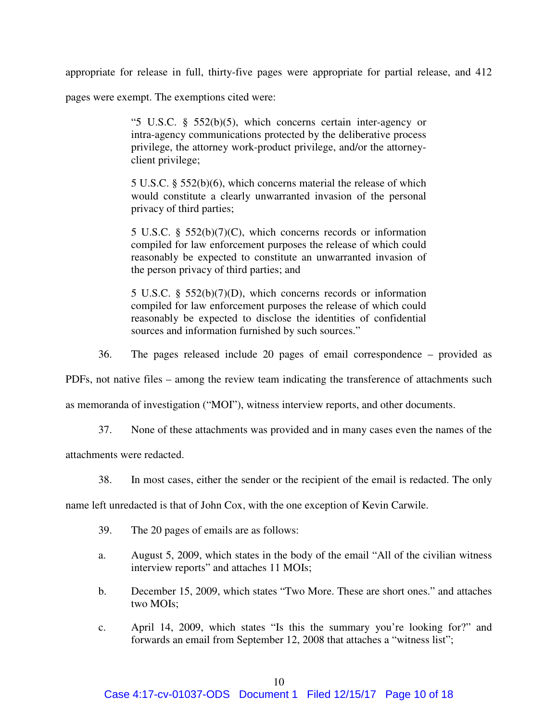appropriate for release in full, thirty-five pages were appropriate for partial release, and 412

pages were exempt. The exemptions cited were:

"5 U.S.C. § 552(b)(5), which concerns certain inter-agency or intra-agency communications protected by the deliberative process privilege, the attorney work-product privilege, and/or the attorneyclient privilege;

5 U.S.C. § 552(b)(6), which concerns material the release of which would constitute a clearly unwarranted invasion of the personal privacy of third parties;

5 U.S.C. § 552(b)(7)(C), which concerns records or information compiled for law enforcement purposes the release of which could reasonably be expected to constitute an unwarranted invasion of the person privacy of third parties; and

5 U.S.C. § 552(b)(7)(D), which concerns records or information compiled for law enforcement purposes the release of which could reasonably be expected to disclose the identities of confidential sources and information furnished by such sources."

36. The pages released include 20 pages of email correspondence – provided as

PDFs, not native files – among the review team indicating the transference of attachments such

as memoranda of investigation ("MOI"), witness interview reports, and other documents.

37. None of these attachments was provided and in many cases even the names of the

attachments were redacted.

38. In most cases, either the sender or the recipient of the email is redacted. The only

name left unredacted is that of John Cox, with the one exception of Kevin Carwile.

- 39. The 20 pages of emails are as follows:
- a. August 5, 2009, which states in the body of the email "All of the civilian witness interview reports" and attaches 11 MOIs;
- b. December 15, 2009, which states "Two More. These are short ones." and attaches two MOIs;
- c. April 14, 2009, which states "Is this the summary you're looking for?" and forwards an email from September 12, 2008 that attaches a "witness list";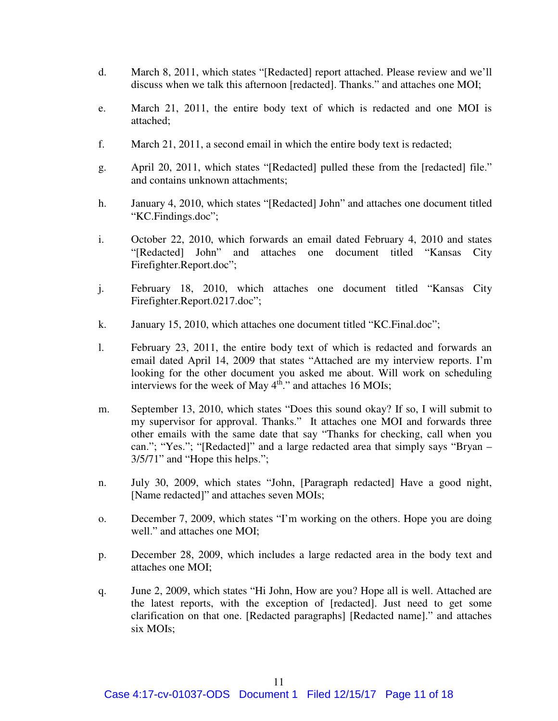- d. March 8, 2011, which states "[Redacted] report attached. Please review and we'll discuss when we talk this afternoon [redacted]. Thanks." and attaches one MOI;
- e. March 21, 2011, the entire body text of which is redacted and one MOI is attached;
- f. March 21, 2011, a second email in which the entire body text is redacted;
- g. April 20, 2011, which states "[Redacted] pulled these from the [redacted] file." and contains unknown attachments;
- h. January 4, 2010, which states "[Redacted] John" and attaches one document titled "KC.Findings.doc";
- i. October 22, 2010, which forwards an email dated February 4, 2010 and states "[Redacted] John" and attaches one document titled "Kansas City Firefighter.Report.doc";
- j. February 18, 2010, which attaches one document titled "Kansas City Firefighter.Report.0217.doc";
- k. January 15, 2010, which attaches one document titled "KC.Final.doc";
- l. February 23, 2011, the entire body text of which is redacted and forwards an email dated April 14, 2009 that states "Attached are my interview reports. I'm looking for the other document you asked me about. Will work on scheduling interviews for the week of May  $4<sup>th</sup>$ ." and attaches 16 MOIs;
- m. September 13, 2010, which states "Does this sound okay? If so, I will submit to my supervisor for approval. Thanks." It attaches one MOI and forwards three other emails with the same date that say "Thanks for checking, call when you can."; "Yes."; "[Redacted]" and a large redacted area that simply says "Bryan – 3/5/71" and "Hope this helps.";
- n. July 30, 2009, which states "John, [Paragraph redacted] Have a good night, [Name redacted]" and attaches seven MOIs;
- o. December 7, 2009, which states "I'm working on the others. Hope you are doing well." and attaches one MOI;
- p. December 28, 2009, which includes a large redacted area in the body text and attaches one MOI;
- q. June 2, 2009, which states "Hi John, How are you? Hope all is well. Attached are the latest reports, with the exception of [redacted]. Just need to get some clarification on that one. [Redacted paragraphs] [Redacted name]." and attaches six MOIs;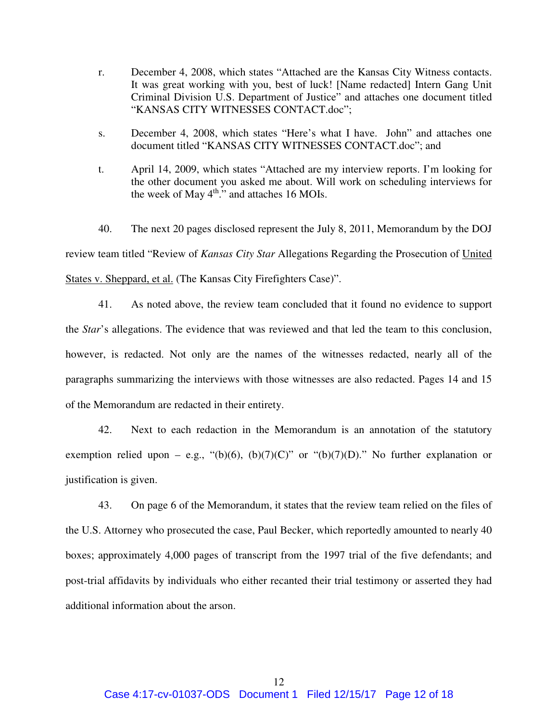- r. December 4, 2008, which states "Attached are the Kansas City Witness contacts. It was great working with you, best of luck! [Name redacted] Intern Gang Unit Criminal Division U.S. Department of Justice" and attaches one document titled "KANSAS CITY WITNESSES CONTACT.doc";
- s. December 4, 2008, which states "Here's what I have. John" and attaches one document titled "KANSAS CITY WITNESSES CONTACT.doc"; and
- t. April 14, 2009, which states "Attached are my interview reports. I'm looking for the other document you asked me about. Will work on scheduling interviews for the week of May  $4^{\text{th}}$ ." and attaches 16 MOIs.

40. The next 20 pages disclosed represent the July 8, 2011, Memorandum by the DOJ review team titled "Review of *Kansas City Star* Allegations Regarding the Prosecution of United States v. Sheppard, et al. (The Kansas City Firefighters Case)".

41. As noted above, the review team concluded that it found no evidence to support the *Star*'s allegations. The evidence that was reviewed and that led the team to this conclusion, however, is redacted. Not only are the names of the witnesses redacted, nearly all of the paragraphs summarizing the interviews with those witnesses are also redacted. Pages 14 and 15 of the Memorandum are redacted in their entirety.

42. Next to each redaction in the Memorandum is an annotation of the statutory exemption relied upon – e.g., " $(b)(6)$ ,  $(b)(7)(C)$ " or " $(b)(7)(D)$ ." No further explanation or justification is given.

43. On page 6 of the Memorandum, it states that the review team relied on the files of the U.S. Attorney who prosecuted the case, Paul Becker, which reportedly amounted to nearly 40 boxes; approximately 4,000 pages of transcript from the 1997 trial of the five defendants; and post-trial affidavits by individuals who either recanted their trial testimony or asserted they had additional information about the arson.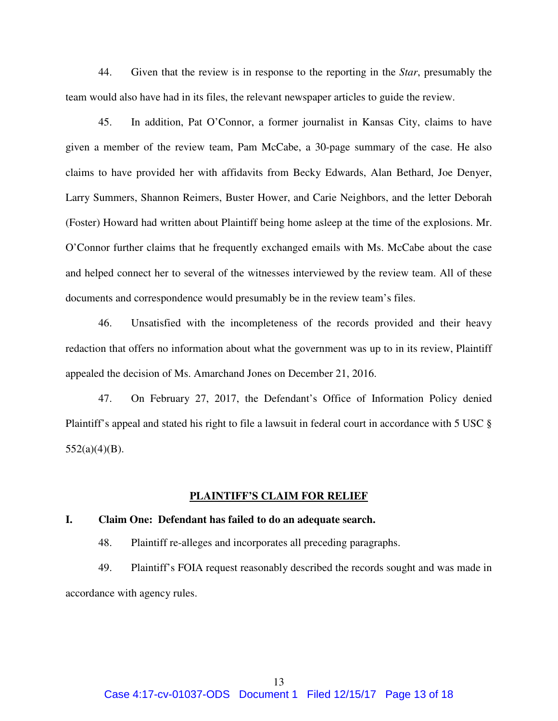44. Given that the review is in response to the reporting in the *Star*, presumably the team would also have had in its files, the relevant newspaper articles to guide the review.

45. In addition, Pat O'Connor, a former journalist in Kansas City, claims to have given a member of the review team, Pam McCabe, a 30-page summary of the case. He also claims to have provided her with affidavits from Becky Edwards, Alan Bethard, Joe Denyer, Larry Summers, Shannon Reimers, Buster Hower, and Carie Neighbors, and the letter Deborah (Foster) Howard had written about Plaintiff being home asleep at the time of the explosions. Mr. O'Connor further claims that he frequently exchanged emails with Ms. McCabe about the case and helped connect her to several of the witnesses interviewed by the review team. All of these documents and correspondence would presumably be in the review team's files.

46. Unsatisfied with the incompleteness of the records provided and their heavy redaction that offers no information about what the government was up to in its review, Plaintiff appealed the decision of Ms. Amarchand Jones on December 21, 2016.

47. On February 27, 2017, the Defendant's Office of Information Policy denied Plaintiff's appeal and stated his right to file a lawsuit in federal court in accordance with 5 USC § 552(a)(4)(B).

## **PLAINTIFF'S CLAIM FOR RELIEF**

#### **I. Claim One: Defendant has failed to do an adequate search.**

48. Plaintiff re-alleges and incorporates all preceding paragraphs.

49. Plaintiff's FOIA request reasonably described the records sought and was made in accordance with agency rules.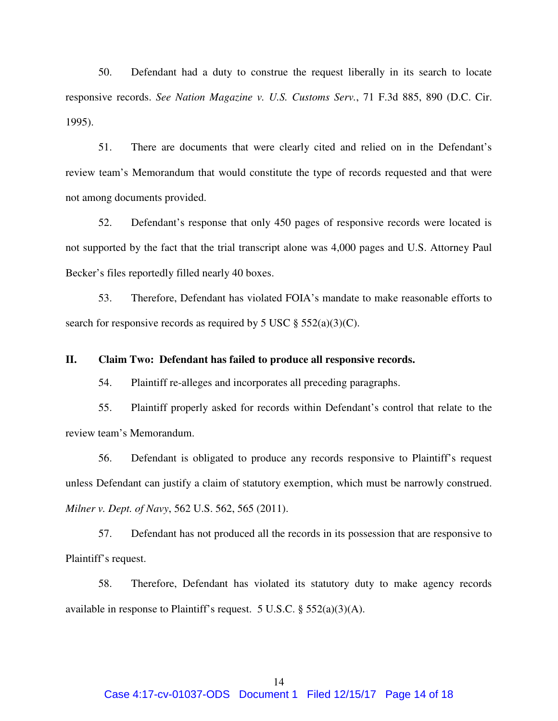50. Defendant had a duty to construe the request liberally in its search to locate responsive records. *See Nation Magazine v. U.S. Customs Serv.*, 71 F.3d 885, 890 (D.C. Cir. 1995).

51. There are documents that were clearly cited and relied on in the Defendant's review team's Memorandum that would constitute the type of records requested and that were not among documents provided.

52. Defendant's response that only 450 pages of responsive records were located is not supported by the fact that the trial transcript alone was 4,000 pages and U.S. Attorney Paul Becker's files reportedly filled nearly 40 boxes.

53. Therefore, Defendant has violated FOIA's mandate to make reasonable efforts to search for responsive records as required by 5 USC  $\S$  552(a)(3)(C).

### **II. Claim Two: Defendant has failed to produce all responsive records.**

54. Plaintiff re-alleges and incorporates all preceding paragraphs.

55. Plaintiff properly asked for records within Defendant's control that relate to the review team's Memorandum.

56. Defendant is obligated to produce any records responsive to Plaintiff's request unless Defendant can justify a claim of statutory exemption, which must be narrowly construed. *Milner v. Dept. of Navy*, 562 U.S. 562, 565 (2011).

57. Defendant has not produced all the records in its possession that are responsive to Plaintiff's request.

58. Therefore, Defendant has violated its statutory duty to make agency records available in response to Plaintiff's request. 5 U.S.C. § 552(a)(3)(A).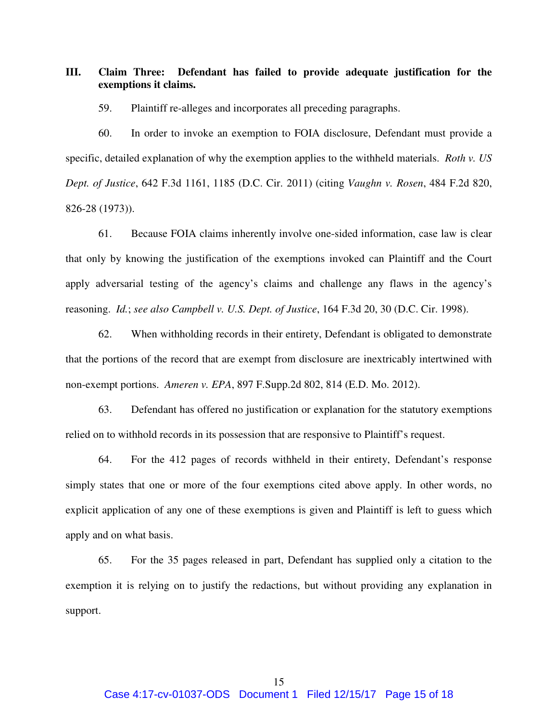**III. Claim Three: Defendant has failed to provide adequate justification for the exemptions it claims.** 

59. Plaintiff re-alleges and incorporates all preceding paragraphs.

60. In order to invoke an exemption to FOIA disclosure, Defendant must provide a specific, detailed explanation of why the exemption applies to the withheld materials. *Roth v. US Dept. of Justice*, 642 F.3d 1161, 1185 (D.C. Cir. 2011) (citing *Vaughn v. Rosen*, 484 F.2d 820, 826-28 (1973)).

61. Because FOIA claims inherently involve one-sided information, case law is clear that only by knowing the justification of the exemptions invoked can Plaintiff and the Court apply adversarial testing of the agency's claims and challenge any flaws in the agency's reasoning. *Id.*; *see also Campbell v. U.S. Dept. of Justice*, 164 F.3d 20, 30 (D.C. Cir. 1998).

62. When withholding records in their entirety, Defendant is obligated to demonstrate that the portions of the record that are exempt from disclosure are inextricably intertwined with non-exempt portions. *Ameren v. EPA*, 897 F.Supp.2d 802, 814 (E.D. Mo. 2012).

63. Defendant has offered no justification or explanation for the statutory exemptions relied on to withhold records in its possession that are responsive to Plaintiff's request.

64. For the 412 pages of records withheld in their entirety, Defendant's response simply states that one or more of the four exemptions cited above apply. In other words, no explicit application of any one of these exemptions is given and Plaintiff is left to guess which apply and on what basis.

65. For the 35 pages released in part, Defendant has supplied only a citation to the exemption it is relying on to justify the redactions, but without providing any explanation in support.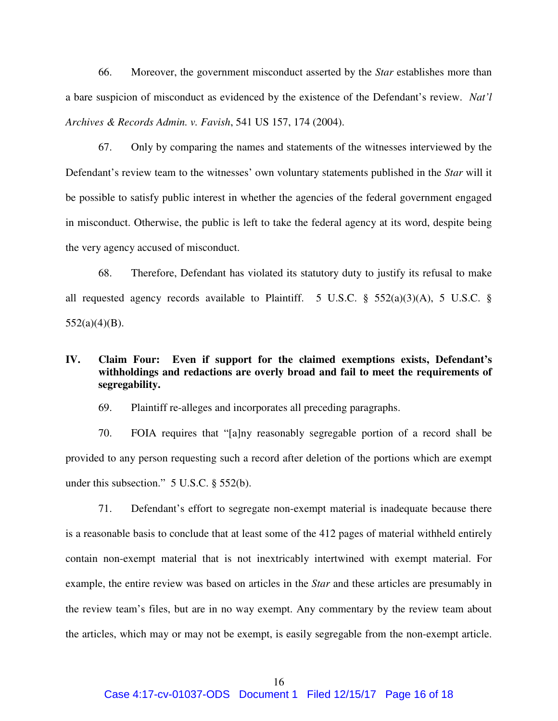66. Moreover, the government misconduct asserted by the *Star* establishes more than a bare suspicion of misconduct as evidenced by the existence of the Defendant's review. *Nat'l Archives & Records Admin. v. Favish*, 541 US 157, 174 (2004).

67. Only by comparing the names and statements of the witnesses interviewed by the Defendant's review team to the witnesses' own voluntary statements published in the *Star* will it be possible to satisfy public interest in whether the agencies of the federal government engaged in misconduct. Otherwise, the public is left to take the federal agency at its word, despite being the very agency accused of misconduct.

68. Therefore, Defendant has violated its statutory duty to justify its refusal to make all requested agency records available to Plaintiff. 5 U.S.C.  $\S$  552(a)(3)(A), 5 U.S.C.  $\S$  $552(a)(4)(B)$ .

# **IV. Claim Four: Even if support for the claimed exemptions exists, Defendant's withholdings and redactions are overly broad and fail to meet the requirements of segregability.**

69. Plaintiff re-alleges and incorporates all preceding paragraphs.

70. FOIA requires that "[a]ny reasonably segregable portion of a record shall be provided to any person requesting such a record after deletion of the portions which are exempt under this subsection." 5 U.S.C. § 552(b).

71. Defendant's effort to segregate non-exempt material is inadequate because there is a reasonable basis to conclude that at least some of the 412 pages of material withheld entirely contain non-exempt material that is not inextricably intertwined with exempt material. For example, the entire review was based on articles in the *Star* and these articles are presumably in the review team's files, but are in no way exempt. Any commentary by the review team about the articles, which may or may not be exempt, is easily segregable from the non-exempt article.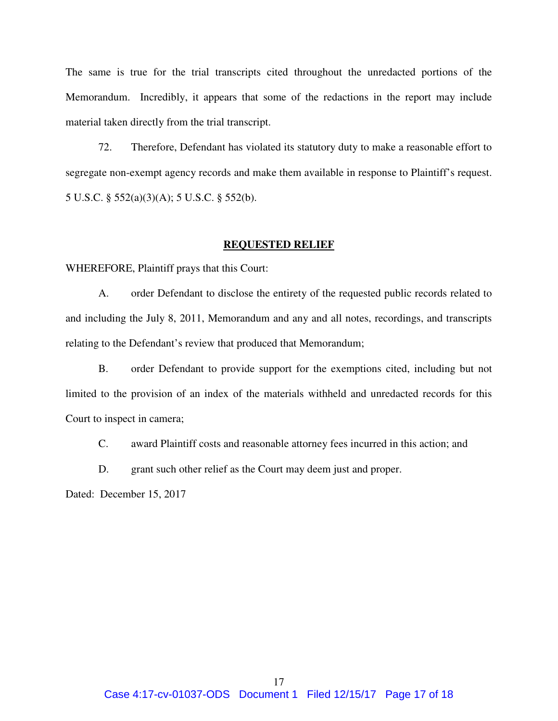The same is true for the trial transcripts cited throughout the unredacted portions of the Memorandum. Incredibly, it appears that some of the redactions in the report may include material taken directly from the trial transcript.

72. Therefore, Defendant has violated its statutory duty to make a reasonable effort to segregate non-exempt agency records and make them available in response to Plaintiff's request. 5 U.S.C. § 552(a)(3)(A); 5 U.S.C. § 552(b).

## **REQUESTED RELIEF**

WHEREFORE, Plaintiff prays that this Court:

A. order Defendant to disclose the entirety of the requested public records related to and including the July 8, 2011, Memorandum and any and all notes, recordings, and transcripts relating to the Defendant's review that produced that Memorandum;

B. order Defendant to provide support for the exemptions cited, including but not limited to the provision of an index of the materials withheld and unredacted records for this Court to inspect in camera;

C. award Plaintiff costs and reasonable attorney fees incurred in this action; and

D. grant such other relief as the Court may deem just and proper.

Dated: December 15, 2017